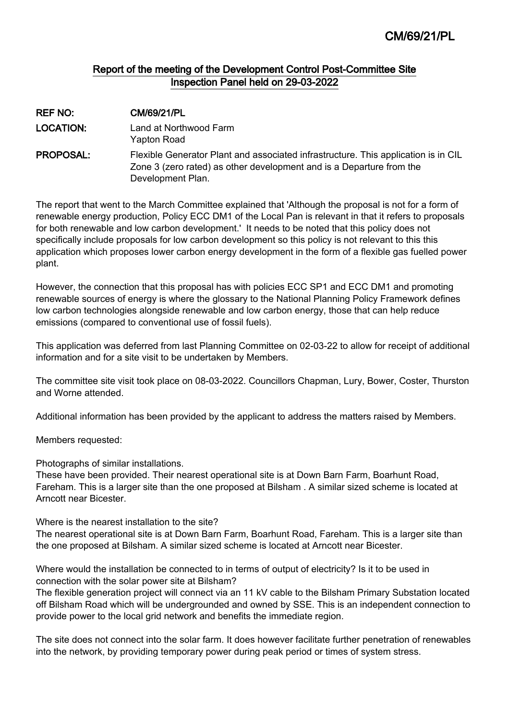# Report of the meeting of the Development Control Post-Committee Site Inspection Panel held on 29-03-2022

| <b>REF NO:</b>   | <b>CM/69/21/PL</b>                                                                                                                                                              |
|------------------|---------------------------------------------------------------------------------------------------------------------------------------------------------------------------------|
| <b>LOCATION:</b> | Land at Northwood Farm<br>Yapton Road                                                                                                                                           |
| <b>PROPOSAL:</b> | Flexible Generator Plant and associated infrastructure. This application is in CIL<br>Zone 3 (zero rated) as other development and is a Departure from the<br>Development Plan. |

The report that went to the March Committee explained that 'Although the proposal is not for a form of renewable energy production, Policy ECC DM1 of the Local Pan is relevant in that it refers to proposals for both renewable and low carbon development.' It needs to be noted that this policy does not specifically include proposals for low carbon development so this policy is not relevant to this this application which proposes lower carbon energy development in the form of a flexible gas fuelled power plant.

However, the connection that this proposal has with policies ECC SP1 and ECC DM1 and promoting renewable sources of energy is where the glossary to the National Planning Policy Framework defines low carbon technologies alongside renewable and low carbon energy, those that can help reduce emissions (compared to conventional use of fossil fuels).

This application was deferred from last Planning Committee on 02-03-22 to allow for receipt of additional information and for a site visit to be undertaken by Members.

The committee site visit took place on 08-03-2022. Councillors Chapman, Lury, Bower, Coster, Thurston and Worne attended.

Additional information has been provided by the applicant to address the matters raised by Members.

Members requested:

Photographs of similar installations.

These have been provided. Their nearest operational site is at Down Barn Farm, Boarhunt Road, Fareham. This is a larger site than the one proposed at Bilsham . A similar sized scheme is located at Arncott near Bicester.

Where is the nearest installation to the site?

The nearest operational site is at Down Barn Farm, Boarhunt Road, Fareham. This is a larger site than the one proposed at Bilsham. A similar sized scheme is located at Arncott near Bicester.

Where would the installation be connected to in terms of output of electricity? Is it to be used in connection with the solar power site at Bilsham?

The flexible generation project will connect via an 11 kV cable to the Bilsham Primary Substation located off Bilsham Road which will be undergrounded and owned by SSE. This is an independent connection to provide power to the local grid network and benefits the immediate region.

The site does not connect into the solar farm. It does however facilitate further penetration of renewables into the network, by providing temporary power during peak period or times of system stress.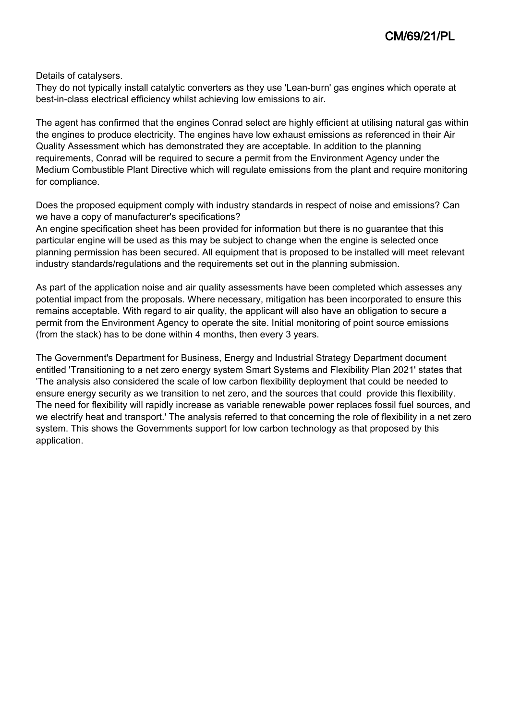Details of catalysers.

They do not typically install catalytic converters as they use 'Lean-burn' gas engines which operate at best-in-class electrical efficiency whilst achieving low emissions to air.

The agent has confirmed that the engines Conrad select are highly efficient at utilising natural gas within the engines to produce electricity. The engines have low exhaust emissions as referenced in their Air Quality Assessment which has demonstrated they are acceptable. In addition to the planning requirements, Conrad will be required to secure a permit from the Environment Agency under the Medium Combustible Plant Directive which will regulate emissions from the plant and require monitoring for compliance.

Does the proposed equipment comply with industry standards in respect of noise and emissions? Can we have a copy of manufacturer's specifications?

An engine specification sheet has been provided for information but there is no guarantee that this particular engine will be used as this may be subject to change when the engine is selected once planning permission has been secured. All equipment that is proposed to be installed will meet relevant industry standards/regulations and the requirements set out in the planning submission.

As part of the application noise and air quality assessments have been completed which assesses any potential impact from the proposals. Where necessary, mitigation has been incorporated to ensure this remains acceptable. With regard to air quality, the applicant will also have an obligation to secure a permit from the Environment Agency to operate the site. Initial monitoring of point source emissions (from the stack) has to be done within 4 months, then every 3 years.

The Government's Department for Business, Energy and Industrial Strategy Department document entitled 'Transitioning to a net zero energy system Smart Systems and Flexibility Plan 2021' states that 'The analysis also considered the scale of low carbon flexibility deployment that could be needed to ensure energy security as we transition to net zero, and the sources that could provide this flexibility. The need for flexibility will rapidly increase as variable renewable power replaces fossil fuel sources, and we electrify heat and transport.' The analysis referred to that concerning the role of flexibility in a net zero system. This shows the Governments support for low carbon technology as that proposed by this application.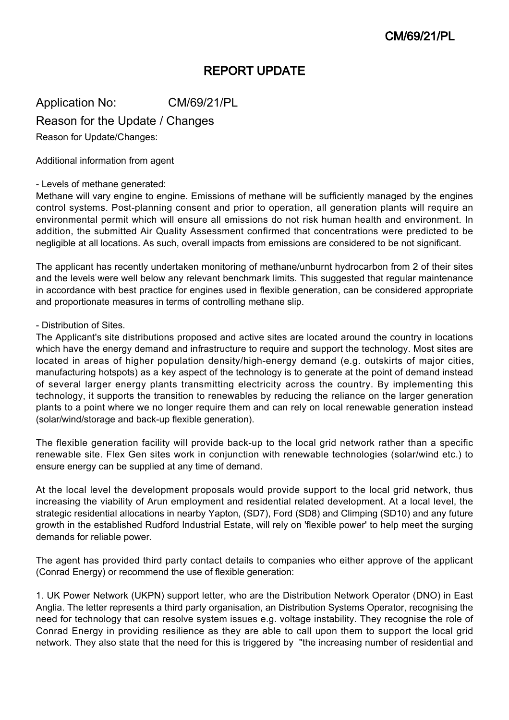# REPORT UPDATE

Application No: CM/69/21/PL

Reason for the Update / Changes

Reason for Update/Changes:

Additional information from agent

## - Levels of methane generated:

Methane will vary engine to engine. Emissions of methane will be sufficiently managed by the engines control systems. Post-planning consent and prior to operation, all generation plants will require an environmental permit which will ensure all emissions do not risk human health and environment. In addition, the submitted Air Quality Assessment confirmed that concentrations were predicted to be negligible at all locations. As such, overall impacts from emissions are considered to be not significant.

The applicant has recently undertaken monitoring of methane/unburnt hydrocarbon from 2 of their sites and the levels were well below any relevant benchmark limits. This suggested that regular maintenance in accordance with best practice for engines used in flexible generation, can be considered appropriate and proportionate measures in terms of controlling methane slip.

## - Distribution of Sites.

The Applicant's site distributions proposed and active sites are located around the country in locations which have the energy demand and infrastructure to require and support the technology. Most sites are located in areas of higher population density/high-energy demand (e.g. outskirts of major cities, manufacturing hotspots) as a key aspect of the technology is to generate at the point of demand instead of several larger energy plants transmitting electricity across the country. By implementing this technology, it supports the transition to renewables by reducing the reliance on the larger generation plants to a point where we no longer require them and can rely on local renewable generation instead (solar/wind/storage and back-up flexible generation).

The flexible generation facility will provide back-up to the local grid network rather than a specific renewable site. Flex Gen sites work in conjunction with renewable technologies (solar/wind etc.) to ensure energy can be supplied at any time of demand.

At the local level the development proposals would provide support to the local grid network, thus increasing the viability of Arun employment and residential related development. At a local level, the strategic residential allocations in nearby Yapton, (SD7), Ford (SD8) and Climping (SD10) and any future growth in the established Rudford Industrial Estate, will rely on 'flexible power' to help meet the surging demands for reliable power.

The agent has provided third party contact details to companies who either approve of the applicant (Conrad Energy) or recommend the use of flexible generation:

1. UK Power Network (UKPN) support letter, who are the Distribution Network Operator (DNO) in East Anglia. The letter represents a third party organisation, an Distribution Systems Operator, recognising the need for technology that can resolve system issues e.g. voltage instability. They recognise the role of Conrad Energy in providing resilience as they are able to call upon them to support the local grid network. They also state that the need for this is triggered by "the increasing number of residential and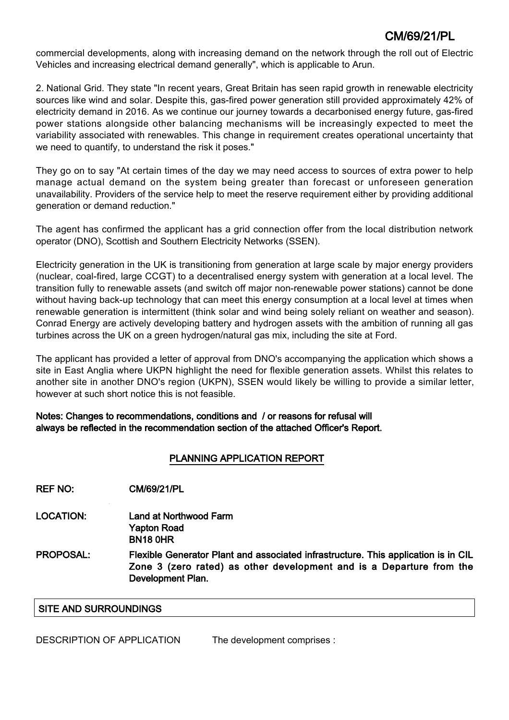commercial developments, along with increasing demand on the network through the roll out of Electric Vehicles and increasing electrical demand generally", which is applicable to Arun.

2. National Grid. They state "In recent years, Great Britain has seen rapid growth in renewable electricity sources like wind and solar. Despite this, gas-fired power generation still provided approximately 42% of electricity demand in 2016. As we continue our journey towards a decarbonised energy future, gas-fired power stations alongside other balancing mechanisms will be increasingly expected to meet the variability associated with renewables. This change in requirement creates operational uncertainty that we need to quantify, to understand the risk it poses."

They go on to say "At certain times of the day we may need access to sources of extra power to help manage actual demand on the system being greater than forecast or unforeseen generation unavailability. Providers of the service help to meet the reserve requirement either by providing additional generation or demand reduction."

The agent has confirmed the applicant has a grid connection offer from the local distribution network operator (DNO), Scottish and Southern Electricity Networks (SSEN).

Electricity generation in the UK is transitioning from generation at large scale by major energy providers (nuclear, coal-fired, large CCGT) to a decentralised energy system with generation at a local level. The transition fully to renewable assets (and switch off major non-renewable power stations) cannot be done without having back-up technology that can meet this energy consumption at a local level at times when renewable generation is intermittent (think solar and wind being solely reliant on weather and season). Conrad Energy are actively developing battery and hydrogen assets with the ambition of running all gas turbines across the UK on a green hydrogen/natural gas mix, including the site at Ford.

The applicant has provided a letter of approval from DNO's accompanying the application which shows a site in East Anglia where UKPN highlight the need for flexible generation assets. Whilst this relates to another site in another DNO's region (UKPN), SSEN would likely be willing to provide a similar letter, however at such short notice this is not feasible.

Notes: Changes to recommendations, conditions and / or reasons for refusal will always be reflected in the recommendation section of the attached Officer's Report.

# PLANNING APPLICATION REPORT

REF NO: CM/69/21/PL

- LOCATION: Land at Northwood Farm Yapton Road BN18 0HR
- PROPOSAL: Flexible Generator Plant and associated infrastructure. This application is in CIL Zone 3 (zero rated) as other development and is a Departure from the Development Plan.

## SITE AND SURROUNDINGS

DESCRIPTION OF APPLICATION The development comprises :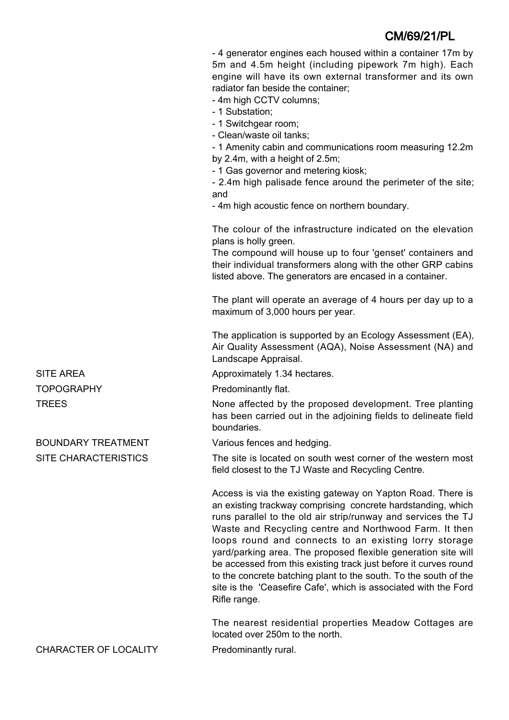- 4 generator engines each housed within a container 17m by 5m and 4.5m height (including pipework 7m high). Each engine will have its own external transformer and its own radiator fan beside the container;

- 4m high CCTV columns;

- 1 Substation;
- 1 Switchgear room;

- Clean/waste oil tanks;

- 1 Amenity cabin and communications room measuring 12.2m by 2.4m, with a height of 2.5m;

- 1 Gas governor and metering kiosk;

- 2.4m high palisade fence around the perimeter of the site; and

- 4m high acoustic fence on northern boundary.

The colour of the infrastructure indicated on the elevation plans is holly green.

The compound will house up to four 'genset' containers and their individual transformers along with the other GRP cabins listed above. The generators are encased in a container.

The plant will operate an average of 4 hours per day up to a maximum of 3,000 hours per year.

The application is supported by an Ecology Assessment (EA), Air Quality Assessment (AQA), Noise Assessment (NA) and Landscape Appraisal.

SITE AREA **Approximately 1.34 hectares.** 

TOPOGRAPHY Predominantly flat.

TREES TREES None affected by the proposed development. Tree planting has been carried out in the adjoining fields to delineate field boundaries.

BOUNDARY TREATMENT Various fences and hedging.

SITE CHARACTERISTICS The site is located on south west corner of the western most field closest to the TJ Waste and Recycling Centre.

> Access is via the existing gateway on Yapton Road. There is an existing trackway comprising concrete hardstanding, which runs parallel to the old air strip/runway and services the TJ Waste and Recycling centre and Northwood Farm. It then loops round and connects to an existing lorry storage yard/parking area. The proposed flexible generation site will be accessed from this existing track just before it curves round to the concrete batching plant to the south. To the south of the site is the 'Ceasefire Cafe', which is associated with the Ford Rifle range.

> The nearest residential properties Meadow Cottages are located over 250m to the north.

CHARACTER OF LOCALITY Predominantly rural.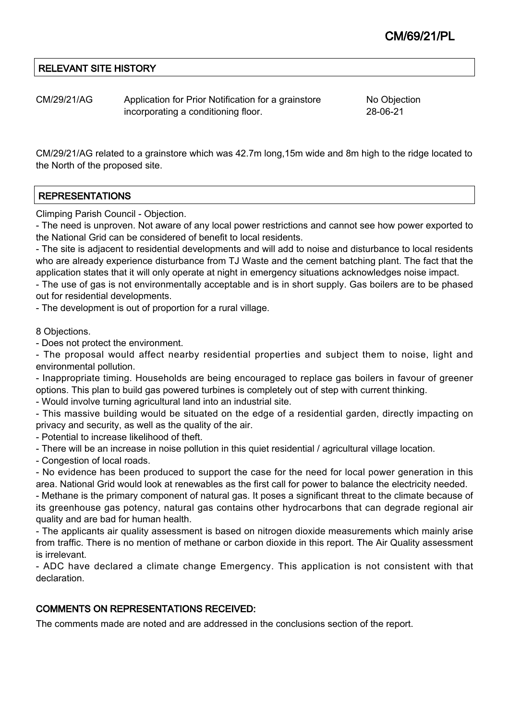# RELEVANT SITE HISTORY

CM/29/21/AG Application for Prior Notification for a grainstore incorporating a conditioning floor.

No Objection 28-06-21

CM/29/21/AG related to a grainstore which was 42.7m long,15m wide and 8m high to the ridge located to the North of the proposed site.

# REPRESENTATIONS

Climping Parish Council - Objection.

- The need is unproven. Not aware of any local power restrictions and cannot see how power exported to the National Grid can be considered of benefit to local residents.

- The site is adjacent to residential developments and will add to noise and disturbance to local residents who are already experience disturbance from TJ Waste and the cement batching plant. The fact that the application states that it will only operate at night in emergency situations acknowledges noise impact.

- The use of gas is not environmentally acceptable and is in short supply. Gas boilers are to be phased out for residential developments.

- The development is out of proportion for a rural village.

### 8 Objections.

- Does not protect the environment.

- The proposal would affect nearby residential properties and subject them to noise, light and environmental pollution.

- Inappropriate timing. Households are being encouraged to replace gas boilers in favour of greener options. This plan to build gas powered turbines is completely out of step with current thinking.

- Would involve turning agricultural land into an industrial site.

- This massive building would be situated on the edge of a residential garden, directly impacting on privacy and security, as well as the quality of the air.

- Potential to increase likelihood of theft.

- There will be an increase in noise pollution in this quiet residential / agricultural village location.

- Congestion of local roads.

- No evidence has been produced to support the case for the need for local power generation in this area. National Grid would look at renewables as the first call for power to balance the electricity needed.

- Methane is the primary component of natural gas. It poses a significant threat to the climate because of its greenhouse gas potency, natural gas contains other hydrocarbons that can degrade regional air quality and are bad for human health.

- The applicants air quality assessment is based on nitrogen dioxide measurements which mainly arise from traffic. There is no mention of methane or carbon dioxide in this report. The Air Quality assessment is irrelevant.

- ADC have declared a climate change Emergency. This application is not consistent with that declaration.

## COMMENTS ON REPRESENTATIONS RECEIVED:

The comments made are noted and are addressed in the conclusions section of the report.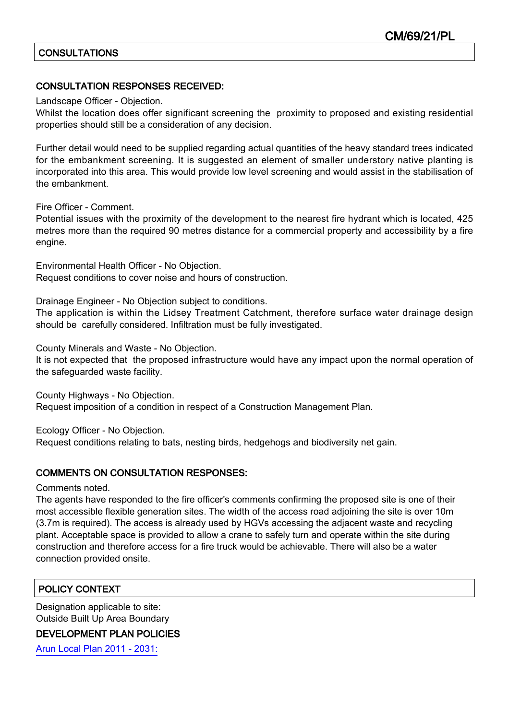# **CONSULTATIONS**

## CONSULTATION RESPONSES RECEIVED:

Landscape Officer - Objection.

Whilst the location does offer significant screening the proximity to proposed and existing residential properties should still be a consideration of any decision.

Further detail would need to be supplied regarding actual quantities of the heavy standard trees indicated for the embankment screening. It is suggested an element of smaller understory native planting is incorporated into this area. This would provide low level screening and would assist in the stabilisation of the embankment.

Fire Officer - Comment.

Potential issues with the proximity of the development to the nearest fire hydrant which is located, 425 metres more than the required 90 metres distance for a commercial property and accessibility by a fire engine.

Environmental Health Officer - No Objection. Request conditions to cover noise and hours of construction.

Drainage Engineer - No Objection subject to conditions.

The application is within the Lidsey Treatment Catchment, therefore surface water drainage design should be carefully considered. Infiltration must be fully investigated.

County Minerals and Waste - No Objection.

It is not expected that the proposed infrastructure would have any impact upon the normal operation of the safeguarded waste facility.

County Highways - No Objection.

Request imposition of a condition in respect of a Construction Management Plan.

Ecology Officer - No Objection.

Request conditions relating to bats, nesting birds, hedgehogs and biodiversity net gain.

## COMMENTS ON CONSULTATION RESPONSES:

Comments noted.

The agents have responded to the fire officer's comments confirming the proposed site is one of their most accessible flexible generation sites. The width of the access road adjoining the site is over 10m (3.7m is required). The access is already used by HGVs accessing the adjacent waste and recycling plant. Acceptable space is provided to allow a crane to safely turn and operate within the site during construction and therefore access for a fire truck would be achievable. There will also be a water connection provided onsite.

# POLICY CONTEXT

Designation applicable to site: Outside Built Up Area Boundary

## DEVELOPMENT PLAN POLICIES

[Arun Local Plan 2011 - 2031:](https://www.arun.gov.uk/adopted-local-plan)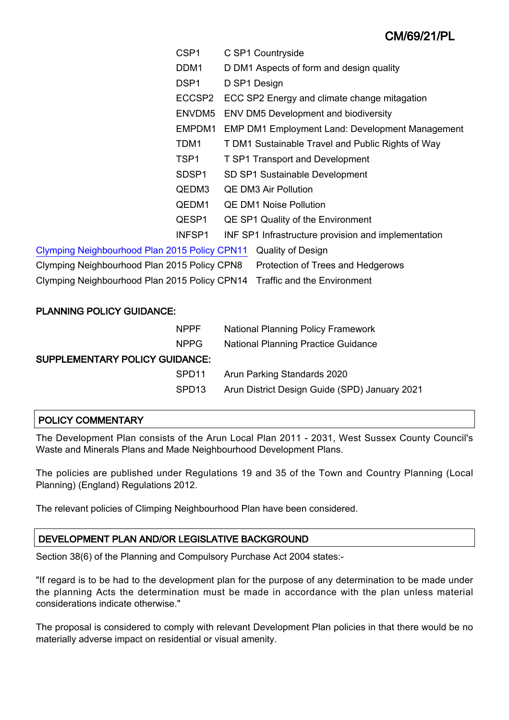| CSP <sub>1</sub>                                                          | C SP1 Countryside                                      |
|---------------------------------------------------------------------------|--------------------------------------------------------|
| DDM <sub>1</sub>                                                          | D DM1 Aspects of form and design quality               |
| DSP <sub>1</sub>                                                          | D SP1 Design                                           |
| ECCSP2                                                                    | ECC SP2 Energy and climate change mitagation           |
| ENVDM5                                                                    | <b>ENV DM5 Development and biodiversity</b>            |
| EMPDM1                                                                    | <b>EMP DM1 Employment Land: Development Management</b> |
| TDM1                                                                      | T DM1 Sustainable Travel and Public Rights of Way      |
| TSP1                                                                      | <b>T SP1 Transport and Development</b>                 |
| SDSP <sub>1</sub>                                                         | SD SP1 Sustainable Development                         |
| QEDM3                                                                     | <b>QE DM3 Air Pollution</b>                            |
| QEDM1                                                                     | <b>QE DM1 Noise Pollution</b>                          |
| QESP1                                                                     | QE SP1 Quality of the Environment                      |
| INFSP1                                                                    | INF SP1 Infrastructure provision and implementation    |
| Clymping Neighbourhood Plan 2015 Policy CPN11                             | <b>Quality of Design</b>                               |
| Clymping Neighbourhood Plan 2015 Policy CPN8                              | Protection of Trees and Hedgerows                      |
| Clymping Neighbourhood Plan 2015 Policy CPN14 Traffic and the Environment |                                                        |
|                                                                           |                                                        |

## PLANNING POLICY GUIDANCE:

|                                       | <b>NPPF</b>       | <b>National Planning Policy Framework</b>     |  |  |
|---------------------------------------|-------------------|-----------------------------------------------|--|--|
|                                       | NPPG.             | <b>National Planning Practice Guidance</b>    |  |  |
| <b>SUPPLEMENTARY POLICY GUIDANCE:</b> |                   |                                               |  |  |
|                                       | SPD <sub>11</sub> | Arun Parking Standards 2020                   |  |  |
|                                       | SPD <sub>13</sub> | Arun District Design Guide (SPD) January 2021 |  |  |
|                                       |                   |                                               |  |  |

# POLICY COMMENTARY

The Development Plan consists of the Arun Local Plan 2011 - 2031, West Sussex County Council's Waste and Minerals Plans and Made Neighbourhood Development Plans.

The policies are published under Regulations 19 and 35 of the Town and Country Planning (Local Planning) (England) Regulations 2012.

The relevant policies of Climping Neighbourhood Plan have been considered.

# DEVELOPMENT PLAN AND/OR LEGISLATIVE BACKGROUND

Section 38(6) of the Planning and Compulsory Purchase Act 2004 states:-

"If regard is to be had to the development plan for the purpose of any determination to be made under the planning Acts the determination must be made in accordance with the plan unless material considerations indicate otherwise."

The proposal is considered to comply with relevant Development Plan policies in that there would be no materially adverse impact on residential or visual amenity.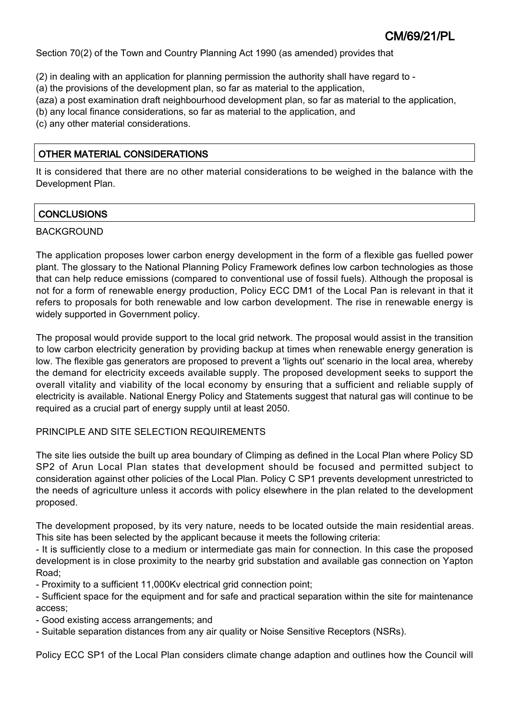Section 70(2) of the Town and Country Planning Act 1990 (as amended) provides that

- (2) in dealing with an application for planning permission the authority shall have regard to -
- (a) the provisions of the development plan, so far as material to the application,
- (aza) a post examination draft neighbourhood development plan, so far as material to the application,
- (b) any local finance considerations, so far as material to the application, and
- (c) any other material considerations.

# OTHER MATERIAL CONSIDERATIONS

It is considered that there are no other material considerations to be weighed in the balance with the Development Plan.

# **CONCLUSIONS**

# BACKGROUND

The application proposes lower carbon energy development in the form of a flexible gas fuelled power plant. The glossary to the National Planning Policy Framework defines low carbon technologies as those that can help reduce emissions (compared to conventional use of fossil fuels). Although the proposal is not for a form of renewable energy production, Policy ECC DM1 of the Local Pan is relevant in that it refers to proposals for both renewable and low carbon development. The rise in renewable energy is widely supported in Government policy.

The proposal would provide support to the local grid network. The proposal would assist in the transition to low carbon electricity generation by providing backup at times when renewable energy generation is low. The flexible gas generators are proposed to prevent a 'lights out' scenario in the local area, whereby the demand for electricity exceeds available supply. The proposed development seeks to support the overall vitality and viability of the local economy by ensuring that a sufficient and reliable supply of electricity is available. National Energy Policy and Statements suggest that natural gas will continue to be required as a crucial part of energy supply until at least 2050.

# PRINCIPLE AND SITE SELECTION REQUIREMENTS

The site lies outside the built up area boundary of Climping as defined in the Local Plan where Policy SD SP2 of Arun Local Plan states that development should be focused and permitted subject to consideration against other policies of the Local Plan. Policy C SP1 prevents development unrestricted to the needs of agriculture unless it accords with policy elsewhere in the plan related to the development proposed.

The development proposed, by its very nature, needs to be located outside the main residential areas. This site has been selected by the applicant because it meets the following criteria:

- It is sufficiently close to a medium or intermediate gas main for connection. In this case the proposed development is in close proximity to the nearby grid substation and available gas connection on Yapton Road;

- Proximity to a sufficient 11,000Kv electrical grid connection point;

- Sufficient space for the equipment and for safe and practical separation within the site for maintenance access;

- Good existing access arrangements; and

- Suitable separation distances from any air quality or Noise Sensitive Receptors (NSRs).

Policy ECC SP1 of the Local Plan considers climate change adaption and outlines how the Council will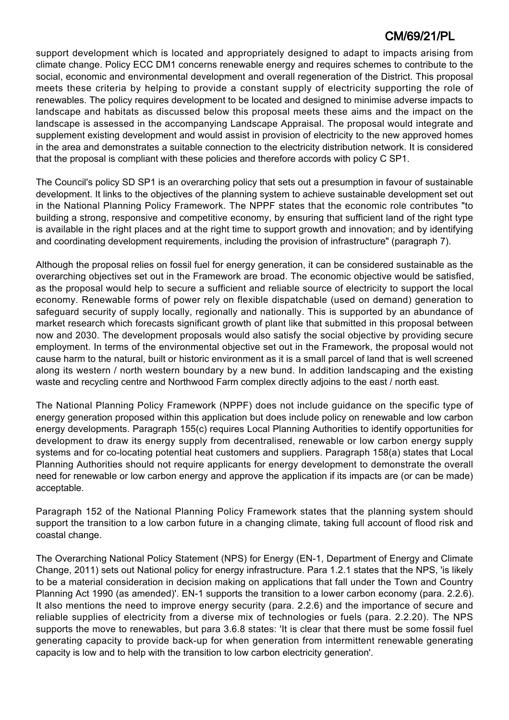support development which is located and appropriately designed to adapt to impacts arising from climate change. Policy ECC DM1 concerns renewable energy and requires schemes to contribute to the social, economic and environmental development and overall regeneration of the District. This proposal meets these criteria by helping to provide a constant supply of electricity supporting the role of renewables. The policy requires development to be located and designed to minimise adverse impacts to landscape and habitats as discussed below this proposal meets these aims and the impact on the landscape is assessed in the accompanying Landscape Appraisal. The proposal would integrate and supplement existing development and would assist in provision of electricity to the new approved homes in the area and demonstrates a suitable connection to the electricity distribution network. It is considered that the proposal is compliant with these policies and therefore accords with policy C SP1.

The Council's policy SD SP1 is an overarching policy that sets out a presumption in favour of sustainable development. It links to the objectives of the planning system to achieve sustainable development set out in the National Planning Policy Framework. The NPPF states that the economic role contributes "to building a strong, responsive and competitive economy, by ensuring that sufficient land of the right type is available in the right places and at the right time to support growth and innovation; and by identifying and coordinating development requirements, including the provision of infrastructure" (paragraph 7).

Although the proposal relies on fossil fuel for energy generation, it can be considered sustainable as the overarching objectives set out in the Framework are broad. The economic objective would be satisfied, as the proposal would help to secure a sufficient and reliable source of electricity to support the local economy. Renewable forms of power rely on flexible dispatchable (used on demand) generation to safeguard security of supply locally, regionally and nationally. This is supported by an abundance of market research which forecasts significant growth of plant like that submitted in this proposal between now and 2030. The development proposals would also satisfy the social objective by providing secure employment. In terms of the environmental objective set out in the Framework, the proposal would not cause harm to the natural, built or historic environment as it is a small parcel of land that is well screened along its western / north western boundary by a new bund. In addition landscaping and the existing waste and recycling centre and Northwood Farm complex directly adjoins to the east / north east.

The National Planning Policy Framework (NPPF) does not include guidance on the specific type of energy generation proposed within this application but does include policy on renewable and low carbon energy developments. Paragraph 155(c) requires Local Planning Authorities to identify opportunities for development to draw its energy supply from decentralised, renewable or low carbon energy supply systems and for co-locating potential heat customers and suppliers. Paragraph 158(a) states that Local Planning Authorities should not require applicants for energy development to demonstrate the overall need for renewable or low carbon energy and approve the application if its impacts are (or can be made) acceptable.

Paragraph 152 of the National Planning Policy Framework states that the planning system should support the transition to a low carbon future in a changing climate, taking full account of flood risk and coastal change.

The Overarching National Policy Statement (NPS) for Energy (EN-1, Department of Energy and Climate Change, 2011) sets out National policy for energy infrastructure. Para 1.2.1 states that the NPS, 'is likely to be a material consideration in decision making on applications that fall under the Town and Country Planning Act 1990 (as amended)'. EN-1 supports the transition to a lower carbon economy (para. 2.2.6). It also mentions the need to improve energy security (para. 2.2.6) and the importance of secure and reliable supplies of electricity from a diverse mix of technologies or fuels (para. 2.2.20). The NPS supports the move to renewables, but para 3.6.8 states: 'It is clear that there must be some fossil fuel generating capacity to provide back-up for when generation from intermittent renewable generating capacity is low and to help with the transition to low carbon electricity generation'.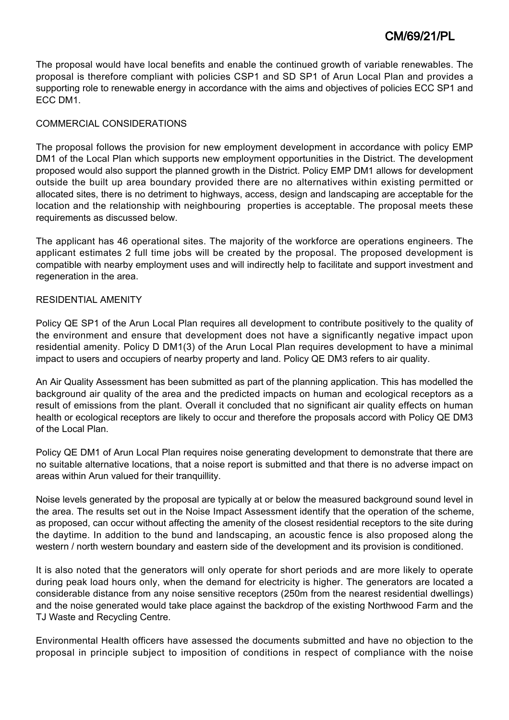The proposal would have local benefits and enable the continued growth of variable renewables. The proposal is therefore compliant with policies CSP1 and SD SP1 of Arun Local Plan and provides a supporting role to renewable energy in accordance with the aims and objectives of policies ECC SP1 and ECC DM1.

## COMMERCIAL CONSIDERATIONS

The proposal follows the provision for new employment development in accordance with policy EMP DM1 of the Local Plan which supports new employment opportunities in the District. The development proposed would also support the planned growth in the District. Policy EMP DM1 allows for development outside the built up area boundary provided there are no alternatives within existing permitted or allocated sites, there is no detriment to highways, access, design and landscaping are acceptable for the location and the relationship with neighbouring properties is acceptable. The proposal meets these requirements as discussed below.

The applicant has 46 operational sites. The majority of the workforce are operations engineers. The applicant estimates 2 full time jobs will be created by the proposal. The proposed development is compatible with nearby employment uses and will indirectly help to facilitate and support investment and regeneration in the area.

## RESIDENTIAL AMENITY

Policy QE SP1 of the Arun Local Plan requires all development to contribute positively to the quality of the environment and ensure that development does not have a significantly negative impact upon residential amenity. Policy D DM1(3) of the Arun Local Plan requires development to have a minimal impact to users and occupiers of nearby property and land. Policy QE DM3 refers to air quality.

An Air Quality Assessment has been submitted as part of the planning application. This has modelled the background air quality of the area and the predicted impacts on human and ecological receptors as a result of emissions from the plant. Overall it concluded that no significant air quality effects on human health or ecological receptors are likely to occur and therefore the proposals accord with Policy QE DM3 of the Local Plan.

Policy QE DM1 of Arun Local Plan requires noise generating development to demonstrate that there are no suitable alternative locations, that a noise report is submitted and that there is no adverse impact on areas within Arun valued for their tranquillity.

Noise levels generated by the proposal are typically at or below the measured background sound level in the area. The results set out in the Noise Impact Assessment identify that the operation of the scheme, as proposed, can occur without affecting the amenity of the closest residential receptors to the site during the daytime. In addition to the bund and landscaping, an acoustic fence is also proposed along the western / north western boundary and eastern side of the development and its provision is conditioned.

It is also noted that the generators will only operate for short periods and are more likely to operate during peak load hours only, when the demand for electricity is higher. The generators are located a considerable distance from any noise sensitive receptors (250m from the nearest residential dwellings) and the noise generated would take place against the backdrop of the existing Northwood Farm and the TJ Waste and Recycling Centre.

Environmental Health officers have assessed the documents submitted and have no objection to the proposal in principle subject to imposition of conditions in respect of compliance with the noise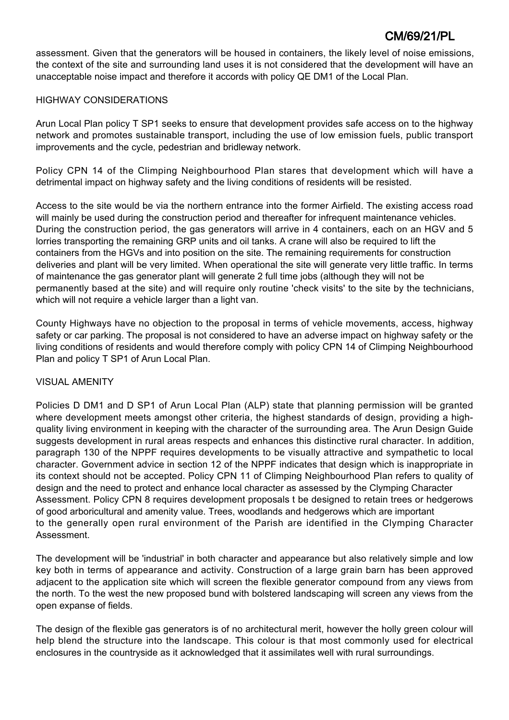assessment. Given that the generators will be housed in containers, the likely level of noise emissions, the context of the site and surrounding land uses it is not considered that the development will have an unacceptable noise impact and therefore it accords with policy QE DM1 of the Local Plan.

## HIGHWAY CONSIDERATIONS

Arun Local Plan policy T SP1 seeks to ensure that development provides safe access on to the highway network and promotes sustainable transport, including the use of low emission fuels, public transport improvements and the cycle, pedestrian and bridleway network.

Policy CPN 14 of the Climping Neighbourhood Plan stares that development which will have a detrimental impact on highway safety and the living conditions of residents will be resisted.

Access to the site would be via the northern entrance into the former Airfield. The existing access road will mainly be used during the construction period and thereafter for infrequent maintenance vehicles. During the construction period, the gas generators will arrive in 4 containers, each on an HGV and 5 lorries transporting the remaining GRP units and oil tanks. A crane will also be required to lift the containers from the HGVs and into position on the site. The remaining requirements for construction deliveries and plant will be very limited. When operational the site will generate very little traffic. In terms of maintenance the gas generator plant will generate 2 full time jobs (although they will not be permanently based at the site) and will require only routine 'check visits' to the site by the technicians, which will not require a vehicle larger than a light van.

County Highways have no objection to the proposal in terms of vehicle movements, access, highway safety or car parking. The proposal is not considered to have an adverse impact on highway safety or the living conditions of residents and would therefore comply with policy CPN 14 of Climping Neighbourhood Plan and policy T SP1 of Arun Local Plan.

## VISUAL AMENITY

Policies D DM1 and D SP1 of Arun Local Plan (ALP) state that planning permission will be granted where development meets amongst other criteria, the highest standards of design, providing a highquality living environment in keeping with the character of the surrounding area. The Arun Design Guide suggests development in rural areas respects and enhances this distinctive rural character. In addition, paragraph 130 of the NPPF requires developments to be visually attractive and sympathetic to local character. Government advice in section 12 of the NPPF indicates that design which is inappropriate in its context should not be accepted. Policy CPN 11 of Climping Neighbourhood Plan refers to quality of design and the need to protect and enhance local character as assessed by the Clymping Character Assessment. Policy CPN 8 requires development proposals t be designed to retain trees or hedgerows of good arboricultural and amenity value. Trees, woodlands and hedgerows which are important to the generally open rural environment of the Parish are identified in the Clymping Character Assessment.

The development will be 'industrial' in both character and appearance but also relatively simple and low key both in terms of appearance and activity. Construction of a large grain barn has been approved adjacent to the application site which will screen the flexible generator compound from any views from the north. To the west the new proposed bund with bolstered landscaping will screen any views from the open expanse of fields.

The design of the flexible gas generators is of no architectural merit, however the holly green colour will help blend the structure into the landscape. This colour is that most commonly used for electrical enclosures in the countryside as it acknowledged that it assimilates well with rural surroundings.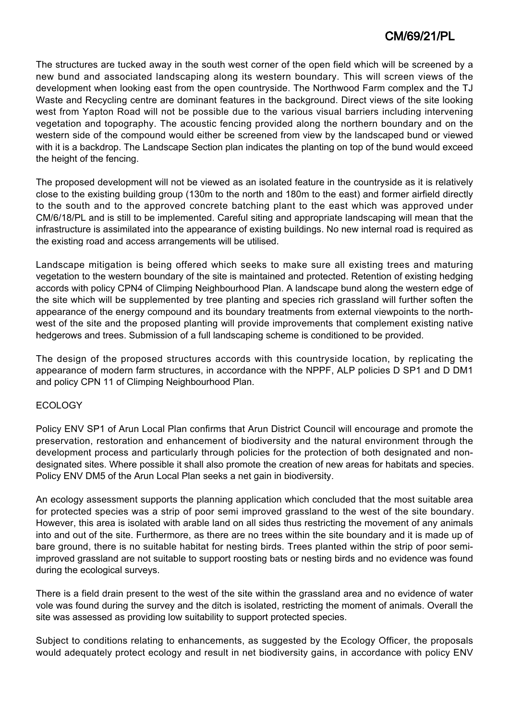The structures are tucked away in the south west corner of the open field which will be screened by a new bund and associated landscaping along its western boundary. This will screen views of the development when looking east from the open countryside. The Northwood Farm complex and the TJ Waste and Recycling centre are dominant features in the background. Direct views of the site looking west from Yapton Road will not be possible due to the various visual barriers including intervening vegetation and topography. The acoustic fencing provided along the northern boundary and on the western side of the compound would either be screened from view by the landscaped bund or viewed with it is a backdrop. The Landscape Section plan indicates the planting on top of the bund would exceed the height of the fencing.

The proposed development will not be viewed as an isolated feature in the countryside as it is relatively close to the existing building group (130m to the north and 180m to the east) and former airfield directly to the south and to the approved concrete batching plant to the east which was approved under CM/6/18/PL and is still to be implemented. Careful siting and appropriate landscaping will mean that the infrastructure is assimilated into the appearance of existing buildings. No new internal road is required as the existing road and access arrangements will be utilised.

Landscape mitigation is being offered which seeks to make sure all existing trees and maturing vegetation to the western boundary of the site is maintained and protected. Retention of existing hedging accords with policy CPN4 of Climping Neighbourhood Plan. A landscape bund along the western edge of the site which will be supplemented by tree planting and species rich grassland will further soften the appearance of the energy compound and its boundary treatments from external viewpoints to the northwest of the site and the proposed planting will provide improvements that complement existing native hedgerows and trees. Submission of a full landscaping scheme is conditioned to be provided.

The design of the proposed structures accords with this countryside location, by replicating the appearance of modern farm structures, in accordance with the NPPF, ALP policies D SP1 and D DM1 and policy CPN 11 of Climping Neighbourhood Plan.

## ECOLOGY

Policy ENV SP1 of Arun Local Plan confirms that Arun District Council will encourage and promote the preservation, restoration and enhancement of biodiversity and the natural environment through the development process and particularly through policies for the protection of both designated and nondesignated sites. Where possible it shall also promote the creation of new areas for habitats and species. Policy ENV DM5 of the Arun Local Plan seeks a net gain in biodiversity.

An ecology assessment supports the planning application which concluded that the most suitable area for protected species was a strip of poor semi improved grassland to the west of the site boundary. However, this area is isolated with arable land on all sides thus restricting the movement of any animals into and out of the site. Furthermore, as there are no trees within the site boundary and it is made up of bare ground, there is no suitable habitat for nesting birds. Trees planted within the strip of poor semiimproved grassland are not suitable to support roosting bats or nesting birds and no evidence was found during the ecological surveys.

There is a field drain present to the west of the site within the grassland area and no evidence of water vole was found during the survey and the ditch is isolated, restricting the moment of animals. Overall the site was assessed as providing low suitability to support protected species.

Subject to conditions relating to enhancements, as suggested by the Ecology Officer, the proposals would adequately protect ecology and result in net biodiversity gains, in accordance with policy ENV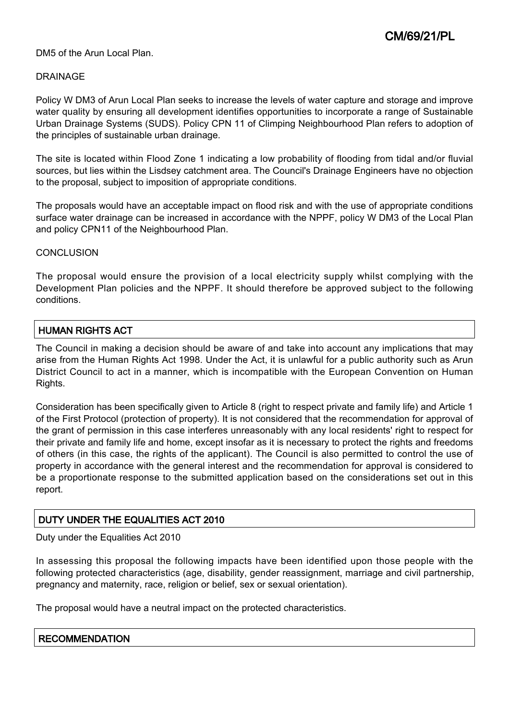### DM5 of the Arun Local Plan.

### DRAINAGE

Policy W DM3 of Arun Local Plan seeks to increase the levels of water capture and storage and improve water quality by ensuring all development identifies opportunities to incorporate a range of Sustainable Urban Drainage Systems (SUDS). Policy CPN 11 of Climping Neighbourhood Plan refers to adoption of the principles of sustainable urban drainage.

The site is located within Flood Zone 1 indicating a low probability of flooding from tidal and/or fluvial sources, but lies within the Lisdsey catchment area. The Council's Drainage Engineers have no objection to the proposal, subject to imposition of appropriate conditions.

The proposals would have an acceptable impact on flood risk and with the use of appropriate conditions surface water drainage can be increased in accordance with the NPPF, policy W DM3 of the Local Plan and policy CPN11 of the Neighbourhood Plan.

### CONCLUSION

The proposal would ensure the provision of a local electricity supply whilst complying with the Development Plan policies and the NPPF. It should therefore be approved subject to the following conditions.

## HUMAN RIGHTS ACT

The Council in making a decision should be aware of and take into account any implications that may arise from the Human Rights Act 1998. Under the Act, it is unlawful for a public authority such as Arun District Council to act in a manner, which is incompatible with the European Convention on Human Rights.

Consideration has been specifically given to Article 8 (right to respect private and family life) and Article 1 of the First Protocol (protection of property). It is not considered that the recommendation for approval of the grant of permission in this case interferes unreasonably with any local residents' right to respect for their private and family life and home, except insofar as it is necessary to protect the rights and freedoms of others (in this case, the rights of the applicant). The Council is also permitted to control the use of property in accordance with the general interest and the recommendation for approval is considered to be a proportionate response to the submitted application based on the considerations set out in this report.

# DUTY UNDER THE EQUALITIES ACT 2010

Duty under the Equalities Act 2010

In assessing this proposal the following impacts have been identified upon those people with the following protected characteristics (age, disability, gender reassignment, marriage and civil partnership, pregnancy and maternity, race, religion or belief, sex or sexual orientation).

The proposal would have a neutral impact on the protected characteristics.

#### **RECOMMENDATION**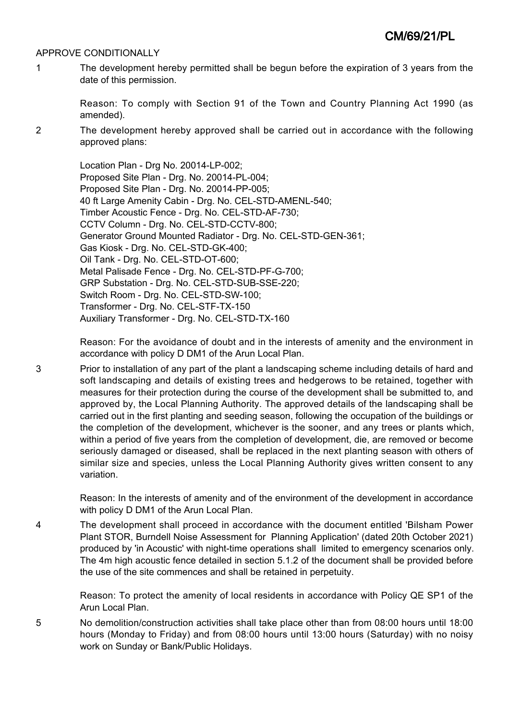### APPROVE CONDITIONALLY

1 The development hereby permitted shall be begun before the expiration of 3 years from the date of this permission.

Reason: To comply with Section 91 of the Town and Country Planning Act 1990 (as amended).

2 The development hereby approved shall be carried out in accordance with the following approved plans:

> Location Plan - Drg No. 20014-LP-002; Proposed Site Plan - Drg. No. 20014-PL-004; Proposed Site Plan - Drg. No. 20014-PP-005; 40 ft Large Amenity Cabin - Drg. No. CEL-STD-AMENL-540; Timber Acoustic Fence - Drg. No. CEL-STD-AF-730; CCTV Column - Drg. No. CEL-STD-CCTV-800; Generator Ground Mounted Radiator - Drg. No. CEL-STD-GEN-361; Gas Kiosk - Drg. No. CEL-STD-GK-400; Oil Tank - Drg. No. CEL-STD-OT-600; Metal Palisade Fence - Drg. No. CEL-STD-PF-G-700; GRP Substation - Drg. No. CEL-STD-SUB-SSE-220; Switch Room - Drg. No. CEL-STD-SW-100; Transformer - Drg. No. CEL-STF-TX-150 Auxiliary Transformer - Drg. No. CEL-STD-TX-160

Reason: For the avoidance of doubt and in the interests of amenity and the environment in accordance with policy D DM1 of the Arun Local Plan.

3 Prior to installation of any part of the plant a landscaping scheme including details of hard and soft landscaping and details of existing trees and hedgerows to be retained, together with measures for their protection during the course of the development shall be submitted to, and approved by, the Local Planning Authority. The approved details of the landscaping shall be carried out in the first planting and seeding season, following the occupation of the buildings or the completion of the development, whichever is the sooner, and any trees or plants which, within a period of five years from the completion of development, die, are removed or become seriously damaged or diseased, shall be replaced in the next planting season with others of similar size and species, unless the Local Planning Authority gives written consent to any variation.

> Reason: In the interests of amenity and of the environment of the development in accordance with policy D DM1 of the Arun Local Plan.

4 The development shall proceed in accordance with the document entitled 'Bilsham Power Plant STOR, Burndell Noise Assessment for Planning Application' (dated 20th October 2021) produced by 'in Acoustic' with night-time operations shall limited to emergency scenarios only. The 4m high acoustic fence detailed in section 5.1.2 of the document shall be provided before the use of the site commences and shall be retained in perpetuity.

> Reason: To protect the amenity of local residents in accordance with Policy QE SP1 of the Arun Local Plan.

5 No demolition/construction activities shall take place other than from 08:00 hours until 18:00 hours (Monday to Friday) and from 08:00 hours until 13:00 hours (Saturday) with no noisy work on Sunday or Bank/Public Holidays.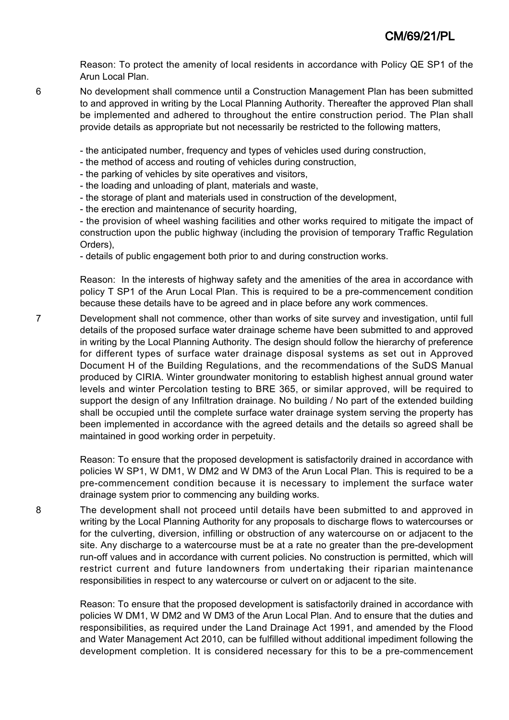Reason: To protect the amenity of local residents in accordance with Policy QE SP1 of the Arun Local Plan.

6 No development shall commence until a Construction Management Plan has been submitted to and approved in writing by the Local Planning Authority. Thereafter the approved Plan shall be implemented and adhered to throughout the entire construction period. The Plan shall provide details as appropriate but not necessarily be restricted to the following matters,

- the anticipated number, frequency and types of vehicles used during construction,

- the method of access and routing of vehicles during construction,
- the parking of vehicles by site operatives and visitors,
- the loading and unloading of plant, materials and waste,
- the storage of plant and materials used in construction of the development,
- the erection and maintenance of security hoarding,

- the provision of wheel washing facilities and other works required to mitigate the impact of construction upon the public highway (including the provision of temporary Traffic Regulation Orders),

- details of public engagement both prior to and during construction works.

Reason: In the interests of highway safety and the amenities of the area in accordance with policy T SP1 of the Arun Local Plan. This is required to be a pre-commencement condition because these details have to be agreed and in place before any work commences.

7 Development shall not commence, other than works of site survey and investigation, until full details of the proposed surface water drainage scheme have been submitted to and approved in writing by the Local Planning Authority. The design should follow the hierarchy of preference for different types of surface water drainage disposal systems as set out in Approved Document H of the Building Regulations, and the recommendations of the SuDS Manual produced by CIRIA. Winter groundwater monitoring to establish highest annual ground water levels and winter Percolation testing to BRE 365, or similar approved, will be required to support the design of any Infiltration drainage. No building / No part of the extended building shall be occupied until the complete surface water drainage system serving the property has been implemented in accordance with the agreed details and the details so agreed shall be maintained in good working order in perpetuity.

> Reason: To ensure that the proposed development is satisfactorily drained in accordance with policies W SP1, W DM1, W DM2 and W DM3 of the Arun Local Plan. This is required to be a pre-commencement condition because it is necessary to implement the surface water drainage system prior to commencing any building works.

8 The development shall not proceed until details have been submitted to and approved in writing by the Local Planning Authority for any proposals to discharge flows to watercourses or for the culverting, diversion, infilling or obstruction of any watercourse on or adjacent to the site. Any discharge to a watercourse must be at a rate no greater than the pre-development run-off values and in accordance with current policies. No construction is permitted, which will restrict current and future landowners from undertaking their riparian maintenance responsibilities in respect to any watercourse or culvert on or adjacent to the site.

Reason: To ensure that the proposed development is satisfactorily drained in accordance with policies W DM1, W DM2 and W DM3 of the Arun Local Plan. And to ensure that the duties and responsibilities, as required under the Land Drainage Act 1991, and amended by the Flood and Water Management Act 2010, can be fulfilled without additional impediment following the development completion. It is considered necessary for this to be a pre-commencement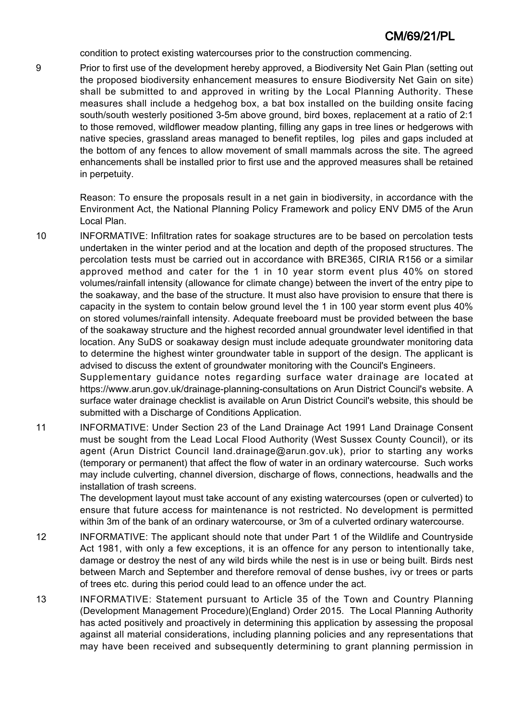condition to protect existing watercourses prior to the construction commencing.

9 Prior to first use of the development hereby approved, a Biodiversity Net Gain Plan (setting out the proposed biodiversity enhancement measures to ensure Biodiversity Net Gain on site) shall be submitted to and approved in writing by the Local Planning Authority. These measures shall include a hedgehog box, a bat box installed on the building onsite facing south/south westerly positioned 3-5m above ground, bird boxes, replacement at a ratio of 2:1 to those removed, wildflower meadow planting, filling any gaps in tree lines or hedgerows with native species, grassland areas managed to benefit reptiles, log piles and gaps included at the bottom of any fences to allow movement of small mammals across the site. The agreed enhancements shall be installed prior to first use and the approved measures shall be retained in perpetuity.

> Reason: To ensure the proposals result in a net gain in biodiversity, in accordance with the Environment Act, the National Planning Policy Framework and policy ENV DM5 of the Arun Local Plan.

10 INFORMATIVE: Infiltration rates for soakage structures are to be based on percolation tests undertaken in the winter period and at the location and depth of the proposed structures. The percolation tests must be carried out in accordance with BRE365, CIRIA R156 or a similar approved method and cater for the 1 in 10 year storm event plus 40% on stored volumes/rainfall intensity (allowance for climate change) between the invert of the entry pipe to the soakaway, and the base of the structure. It must also have provision to ensure that there is capacity in the system to contain below ground level the 1 in 100 year storm event plus 40% on stored volumes/rainfall intensity. Adequate freeboard must be provided between the base of the soakaway structure and the highest recorded annual groundwater level identified in that location. Any SuDS or soakaway design must include adequate groundwater monitoring data to determine the highest winter groundwater table in support of the design. The applicant is advised to discuss the extent of groundwater monitoring with the Council's Engineers.

Supplementary guidance notes regarding surface water drainage are located at https://www.arun.gov.uk/drainage-planning-consultations on Arun District Council's website. A surface water drainage checklist is available on Arun District Council's website, this should be submitted with a Discharge of Conditions Application.

11 INFORMATIVE: Under Section 23 of the Land Drainage Act 1991 Land Drainage Consent must be sought from the Lead Local Flood Authority (West Sussex County Council), or its agent (Arun District Council land.drainage@arun.gov.uk), prior to starting any works (temporary or permanent) that affect the flow of water in an ordinary watercourse. Such works may include culverting, channel diversion, discharge of flows, connections, headwalls and the installation of trash screens.

The development layout must take account of any existing watercourses (open or culverted) to ensure that future access for maintenance is not restricted. No development is permitted within 3m of the bank of an ordinary watercourse, or 3m of a culverted ordinary watercourse.

- 12 INFORMATIVE: The applicant should note that under Part 1 of the Wildlife and Countryside Act 1981, with only a few exceptions, it is an offence for any person to intentionally take, damage or destroy the nest of any wild birds while the nest is in use or being built. Birds nest between March and September and therefore removal of dense bushes, ivy or trees or parts of trees etc. during this period could lead to an offence under the act.
- 13 INFORMATIVE: Statement pursuant to Article 35 of the Town and Country Planning (Development Management Procedure)(England) Order 2015. The Local Planning Authority has acted positively and proactively in determining this application by assessing the proposal against all material considerations, including planning policies and any representations that may have been received and subsequently determining to grant planning permission in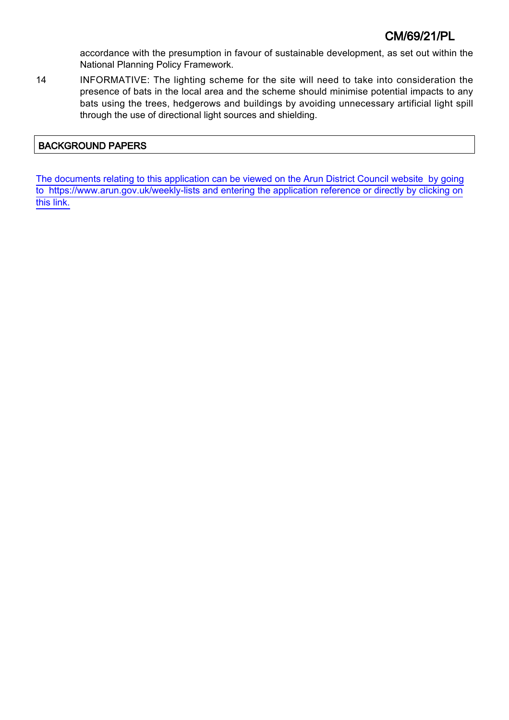accordance with the presumption in favour of sustainable development, as set out within the National Planning Policy Framework.

14 INFORMATIVE: The lighting scheme for the site will need to take into consideration the presence of bats in the local area and the scheme should minimise potential impacts to any bats using the trees, hedgerows and buildings by avoiding unnecessary artificial light spill through the use of directional light sources and shielding.

## BACKGROUND PAPERS

[The documents relating to this application can be viewed on the Arun District Council website by going](http://www1.arun.gov.uk/planrec/index.cfm?tpkey=eOcella&user_key_1=CM/69/21/PL&keyscheme=planning) [to https://www.arun.gov.uk/weekly-lists and entering the application reference or directly by clicking on](http://www1.arun.gov.uk/planrec/index.cfm?tpkey=eOcella&user_key_1=CM/69/21/PL&keyscheme=planning) [this link.](http://www1.arun.gov.uk/planrec/index.cfm?tpkey=eOcella&user_key_1=CM/69/21/PL&keyscheme=planning)